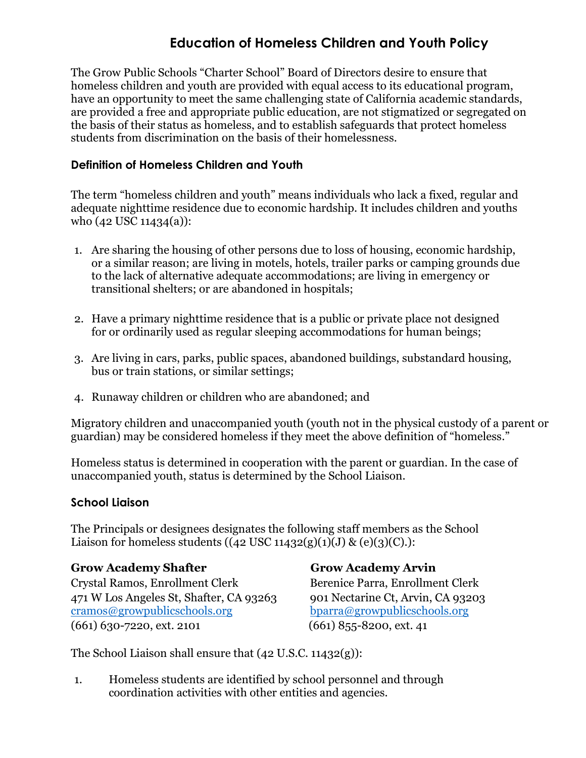# **Education of Homeless Children and Youth Policy**

The Grow Public Schools "Charter School" Board of Directors desire to ensure that homeless children and youth are provided with equal access to its educational program, have an opportunity to meet the same challenging state of California academic standards, are provided a free and appropriate public education, are not stigmatized or segregated on the basis of their status as homeless, and to establish safeguards that protect homeless students from discrimination on the basis of their homelessness.

## **Definition of Homeless Children and Youth**

The term "homeless children and youth" means individuals who lack a fixed, regular and adequate nighttime residence due to economic hardship. It includes children and youths who (42 USC 11434(a)):

- 1. Are sharing the housing of other persons due to loss of housing, economic hardship, or a similar reason; are living in motels, hotels, trailer parks or camping grounds due to the lack of alternative adequate accommodations; are living in emergency or transitional shelters; or are abandoned in hospitals;
- 2. Have a primary nighttime residence that is a public or private place not designed for or ordinarily used as regular sleeping accommodations for human beings;
- 3. Are living in cars, parks, public spaces, abandoned buildings, substandard housing, bus or train stations, or similar settings;
- 4. Runaway children or children who are abandoned; and

Migratory children and unaccompanied youth (youth not in the physical custody of a parent or guardian) may be considered homeless if they meet the above definition of "homeless."

Homeless status is determined in cooperation with the parent or guardian. In the case of unaccompanied youth, status is determined by the School Liaison.

#### **School Liaison**

The Principals or designees designates the following staff members as the School Liaison for homeless students  $((42 \text{ USC } 11432(g)(1)(J) \& (e)(3)(C))$ :

#### **Grow Academy Shafter Grow Academy Arvin**

Crystal Ramos, Enrollment Clerk Berenice Parra, Enrollment Clerk 471 W Los Angeles St, Shafter, CA 93263 901 Nectarine Ct, Arvin, CA 93203 cramos@growpublicschools.org bparra@growpublicschools.org  $(661)$  630-7220, ext. 2101  $(661)$  855-8200, ext. 41

The School Liaison shall ensure that (42 U.S.C. 11432(g)):

1. Homeless students are identified by school personnel and through coordination activities with other entities and agencies.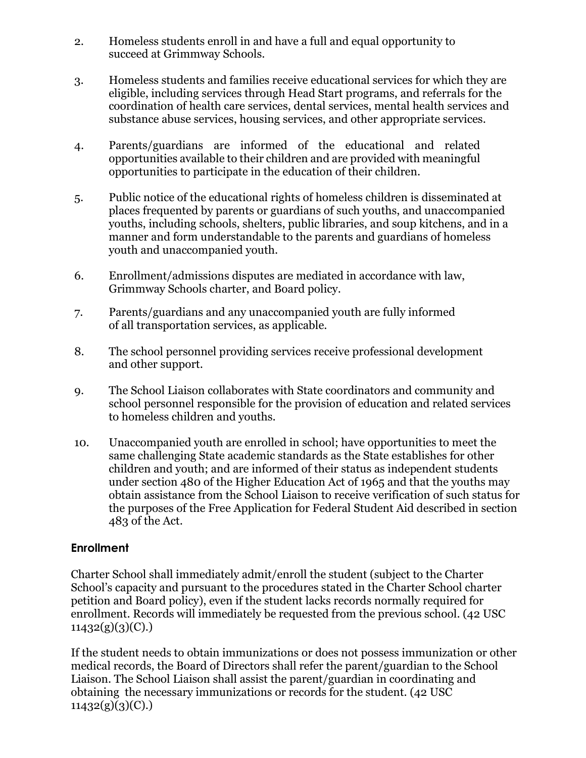- 2. Homeless students enroll in and have a full and equal opportunity to succeed at Grimmway Schools.
- 3. Homeless students and families receive educational services for which they are eligible, including services through Head Start programs, and referrals for the coordination of health care services, dental services, mental health services and substance abuse services, housing services, and other appropriate services.
- 4. Parents/guardians are informed of the educational and related opportunities available to their children and are provided with meaningful opportunities to participate in the education of their children.
- 5. Public notice of the educational rights of homeless children is disseminated at places frequented by parents or guardians of such youths, and unaccompanied youths, including schools, shelters, public libraries, and soup kitchens, and in a manner and form understandable to the parents and guardians of homeless youth and unaccompanied youth.
- 6. Enrollment/admissions disputes are mediated in accordance with law, Grimmway Schools charter, and Board policy.
- 7. Parents/guardians and any unaccompanied youth are fully informed of all transportation services, as applicable.
- 8. The school personnel providing services receive professional development and other support.
- 9. The School Liaison collaborates with State coordinators and community and school personnel responsible for the provision of education and related services to homeless children and youths.
- 10. Unaccompanied youth are enrolled in school; have opportunities to meet the same challenging State academic standards as the State establishes for other children and youth; and are informed of their status as independent students under section 480 of the Higher Education Act of 1965 and that the youths may obtain assistance from the School Liaison to receive verification of such status for the purposes of the Free Application for Federal Student Aid described in section 483 of the Act.

# **Enrollment**

Charter School shall immediately admit/enroll the student (subject to the Charter School's capacity and pursuant to the procedures stated in the Charter School charter petition and Board policy), even if the student lacks records normally required for enrollment. Records will immediately be requested from the previous school. (42 USC  $11432(g)(3)(C)$ .

If the student needs to obtain immunizations or does not possess immunization or other medical records, the Board of Directors shall refer the parent/guardian to the School Liaison. The School Liaison shall assist the parent/guardian in coordinating and obtaining the necessary immunizations or records for the student. (42 USC  $11432(g)(3)(C)$ .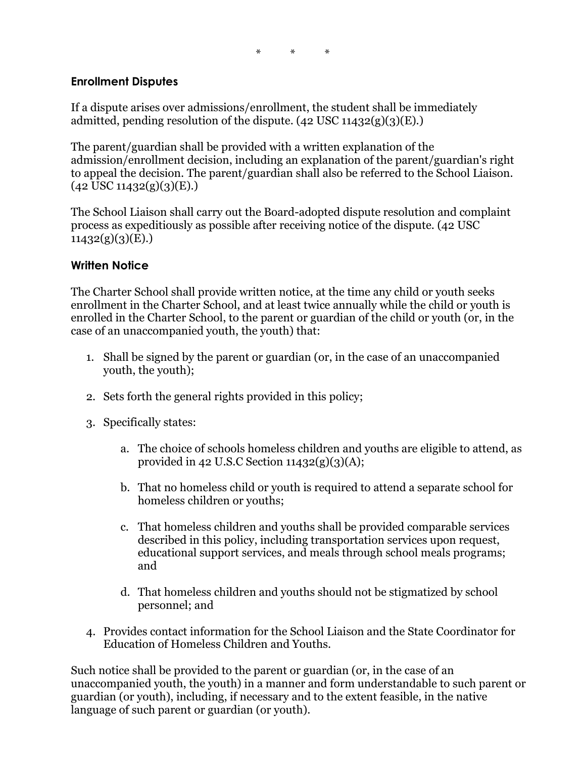# **Enrollment Disputes**

If a dispute arises over admissions/enrollment, the student shall be immediately admitted, pending resolution of the dispute.  $(42 \text{ USC } 11432(g)(3)(E))$ 

The parent/guardian shall be provided with a written explanation of the admission/enrollment decision, including an explanation of the parent/guardian's right to appeal the decision. The parent/guardian shall also be referred to the School Liaison.  $(42 \text{ USC } 11432(g)(3)(E))$ 

The School Liaison shall carry out the Board-adopted dispute resolution and complaint process as expeditiously as possible after receiving notice of the dispute. (42 USC  $11432(g)(3)(E)$ .

### **Written Notice**

The Charter School shall provide written notice, at the time any child or youth seeks enrollment in the Charter School, and at least twice annually while the child or youth is enrolled in the Charter School, to the parent or guardian of the child or youth (or, in the case of an unaccompanied youth, the youth) that:

- 1. Shall be signed by the parent or guardian (or, in the case of an unaccompanied youth, the youth);
- 2. Sets forth the general rights provided in this policy;
- 3. Specifically states:
	- a. The choice of schools homeless children and youths are eligible to attend, as provided in 42 U.S.C Section  $11432(g)(3)(A);$
	- b. That no homeless child or youth is required to attend a separate school for homeless children or youths;
	- c. That homeless children and youths shall be provided comparable services described in this policy, including transportation services upon request, educational support services, and meals through school meals programs; and
	- d. That homeless children and youths should not be stigmatized by school personnel; and
- 4. Provides contact information for the School Liaison and the State Coordinator for Education of Homeless Children and Youths.

Such notice shall be provided to the parent or guardian (or, in the case of an unaccompanied youth, the youth) in a manner and form understandable to such parent or guardian (or youth), including, if necessary and to the extent feasible, in the native language of such parent or guardian (or youth).